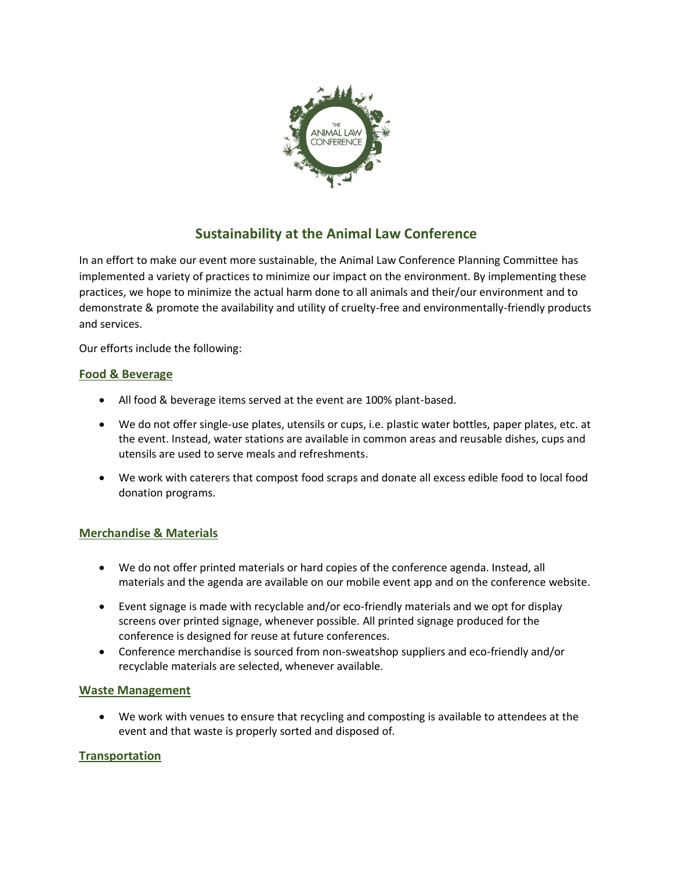

# **Sustainability at the Animal Law Conference**

In an effort to make our event more sustainable, the Animal Law Conference Planning Committee has implemented a variety of practices to minimize our impact on the environment. By implementing these practices, we hope to minimize the actual harm done to all animals and their/our environment and to demonstrate & promote the availability and utility of cruelty-free and environmentally-friendly products and services.

Our efforts include the following:

## **Food & Beverage**

- All food & beverage items served at the event are 100% plant-based.
- We do not offer single-use plates, utensils or cups, i.e. plastic water bottles, paper plates, etc. at the event. Instead, water stations are available in common areas and reusable dishes, cups and utensils are used to serve meals and refreshments.
- We work with caterers that compost food scraps and donate all excess edible food to local food donation programs.

## **Merchandise & Materials**

- We do not offer printed materials or hard copies of the conference agenda. Instead, all materials and the agenda are available on our mobile event app and on the conference website.
- Event signage is made with recyclable and/or eco-friendly materials and we opt for display screens over printed signage, whenever possible. All printed signage produced for the conference is designed for reuse at future conferences.
- Conference merchandise is sourced from non-sweatshop suppliers and eco-friendly and/or recyclable materials are selected, whenever available.

#### **Waste Management**

• We work with venues to ensure that recycling and composting is available to attendees at the event and that waste is properly sorted and disposed of.

## **Transportation**